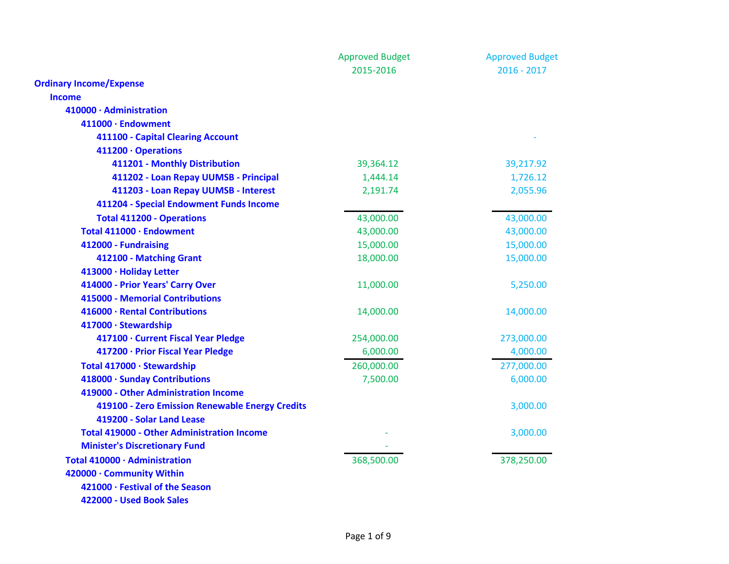|                                                   | <b>Approved Budget</b> | <b>Approved Budget</b> |
|---------------------------------------------------|------------------------|------------------------|
|                                                   | 2015-2016              | $2016 - 2017$          |
| <b>Ordinary Income/Expense</b>                    |                        |                        |
| <b>Income</b>                                     |                        |                        |
| 410000 · Administration                           |                        |                        |
| 411000 · Endowment                                |                        |                        |
| 411100 - Capital Clearing Account                 |                        |                        |
| 411200 · Operations                               |                        |                        |
| 411201 - Monthly Distribution                     | 39,364.12              | 39,217.92              |
| 411202 - Loan Repay UUMSB - Principal             | 1,444.14               | 1,726.12               |
| 411203 - Loan Repay UUMSB - Interest              | 2,191.74               | 2,055.96               |
| 411204 - Special Endowment Funds Income           |                        |                        |
| <b>Total 411200 - Operations</b>                  | 43,000.00              | 43,000.00              |
| Total 411000 · Endowment                          | 43,000.00              | 43,000.00              |
| 412000 - Fundraising                              | 15,000.00              | 15,000.00              |
| 412100 - Matching Grant                           | 18,000.00              | 15,000.00              |
| 413000 · Holiday Letter                           |                        |                        |
| 414000 - Prior Years' Carry Over                  | 11,000.00              | 5,250.00               |
| 415000 - Memorial Contributions                   |                        |                        |
| 416000 · Rental Contributions                     | 14,000.00              | 14,000.00              |
| 417000 · Stewardship                              |                        |                        |
| 417100 · Current Fiscal Year Pledge               | 254,000.00             | 273,000.00             |
| 417200 · Prior Fiscal Year Pledge                 | 6,000.00               | 4,000.00               |
| Total 417000 · Stewardship                        | 260,000.00             | 277,000.00             |
| 418000 · Sunday Contributions                     | 7,500.00               | 6,000.00               |
| 419000 - Other Administration Income              |                        |                        |
| 419100 - Zero Emission Renewable Energy Credits   |                        | 3,000.00               |
| 419200 - Solar Land Lease                         |                        |                        |
| <b>Total 419000 - Other Administration Income</b> |                        | 3,000.00               |
| <b>Minister's Discretionary Fund</b>              |                        |                        |
| Total 410000 · Administration                     | 368,500.00             | 378,250.00             |
| 420000 · Community Within                         |                        |                        |
| 421000 · Festival of the Season                   |                        |                        |
| 422000 - Used Book Sales                          |                        |                        |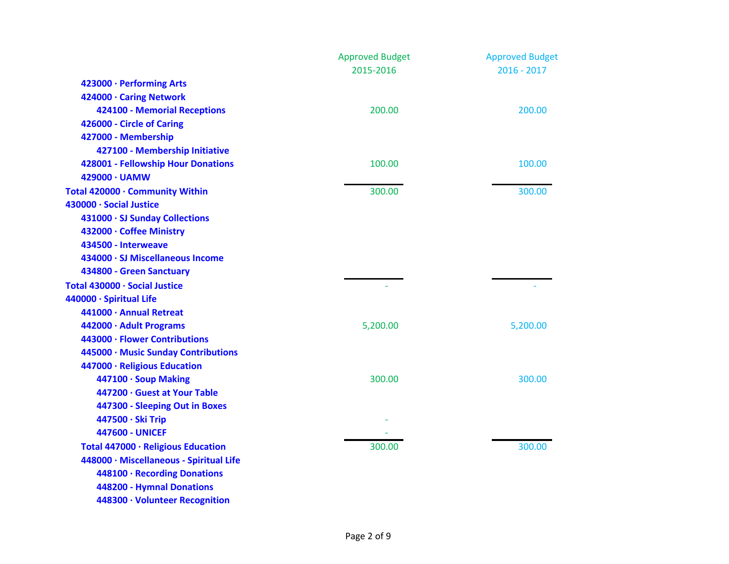|                                         | <b>Approved Budget</b> | <b>Approved Budget</b> |
|-----------------------------------------|------------------------|------------------------|
|                                         | 2015-2016              | $2016 - 2017$          |
| 423000 · Performing Arts                |                        |                        |
| 424000 · Caring Network                 |                        |                        |
| 424100 - Memorial Receptions            | 200.00                 | 200.00                 |
| 426000 - Circle of Caring               |                        |                        |
| 427000 - Membership                     |                        |                        |
| 427100 - Membership Initiative          |                        |                        |
| 428001 - Fellowship Hour Donations      | 100.00                 | 100.00                 |
| 429000 · UAMW                           |                        |                        |
| Total 420000 · Community Within         | 300.00                 | 300.00                 |
| 430000 · Social Justice                 |                        |                        |
| 431000 · SJ Sunday Collections          |                        |                        |
| 432000 · Coffee Ministry                |                        |                        |
| 434500 - Interweave                     |                        |                        |
| 434000 · SJ Miscellaneous Income        |                        |                        |
| 434800 - Green Sanctuary                |                        |                        |
| Total 430000 · Social Justice           |                        |                        |
| 440000 · Spiritual Life                 |                        |                        |
| 441000 · Annual Retreat                 |                        |                        |
| 442000 · Adult Programs                 | 5,200.00               | 5,200.00               |
| 443000 · Flower Contributions           |                        |                        |
| 445000 · Music Sunday Contributions     |                        |                        |
| 447000 · Religious Education            |                        |                        |
| 447100 · Soup Making                    | 300.00                 | 300.00                 |
| 447200 · Guest at Your Table            |                        |                        |
| 447300 - Sleeping Out in Boxes          |                        |                        |
| 447500 · Ski Trip                       |                        |                        |
| <b>447600 - UNICEF</b>                  |                        |                        |
| Total 447000 · Religious Education      | 300.00                 | 300.00                 |
| 448000 · Miscellaneous - Spiritual Life |                        |                        |
| 448100 · Recording Donations            |                        |                        |
| 448200 - Hymnal Donations               |                        |                        |
| 448300 · Volunteer Recognition          |                        |                        |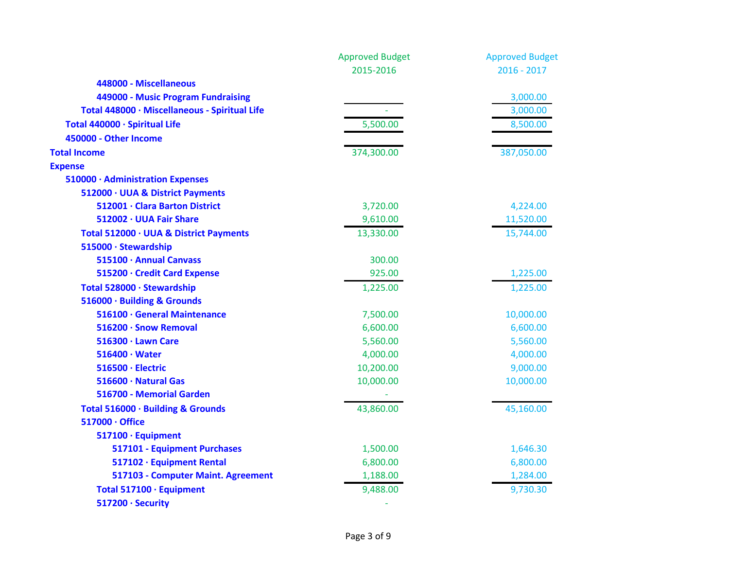|                                               | <b>Approved Budget</b> | <b>Approved Budget</b> |
|-----------------------------------------------|------------------------|------------------------|
|                                               | 2015-2016              | $2016 - 2017$          |
| 448000 - Miscellaneous                        |                        |                        |
| 449000 - Music Program Fundraising            |                        | 3,000.00               |
| Total 448000 · Miscellaneous - Spiritual Life |                        | 3,000.00               |
| Total 440000 · Spiritual Life                 | 5,500.00               | 8,500.00               |
| 450000 - Other Income                         |                        |                        |
| <b>Total Income</b>                           | 374,300.00             | 387,050.00             |
| <b>Expense</b>                                |                        |                        |
| 510000 · Administration Expenses              |                        |                        |
| 512000 · UUA & District Payments              |                        |                        |
| 512001 · Clara Barton District                | 3,720.00               | 4,224.00               |
| 512002 · UUA Fair Share                       | 9,610.00               | 11,520.00              |
| Total 512000 · UUA & District Payments        | 13,330.00              | 15,744.00              |
| 515000 · Stewardship                          |                        |                        |
| 515100 · Annual Canvass                       | 300.00                 |                        |
| 515200 · Credit Card Expense                  | 925.00                 | 1,225.00               |
| Total 528000 · Stewardship                    | 1,225.00               | 1,225.00               |
| 516000 · Building & Grounds                   |                        |                        |
| 516100 · General Maintenance                  | 7,500.00               | 10,000.00              |
| 516200 · Snow Removal                         | 6,600.00               | 6,600.00               |
| 516300 · Lawn Care                            | 5,560.00               | 5,560.00               |
| $516400 \cdot Water$                          | 4,000.00               | 4,000.00               |
| 516500 · Electric                             | 10,200.00              | 9,000.00               |
| 516600 · Natural Gas                          | 10,000.00              | 10,000.00              |
| 516700 - Memorial Garden                      |                        |                        |
| Total 516000 · Building & Grounds             | 43,860.00              | 45,160.00              |
| 517000 · Office                               |                        |                        |
| 517100 · Equipment                            |                        |                        |
| 517101 - Equipment Purchases                  | 1,500.00               | 1,646.30               |
| 517102 · Equipment Rental                     | 6,800.00               | 6,800.00               |
| 517103 - Computer Maint. Agreement            | 1,188.00               | 1,284.00               |
| Total 517100 · Equipment                      | 9,488.00               | 9,730.30               |
| 517200 · Security                             |                        |                        |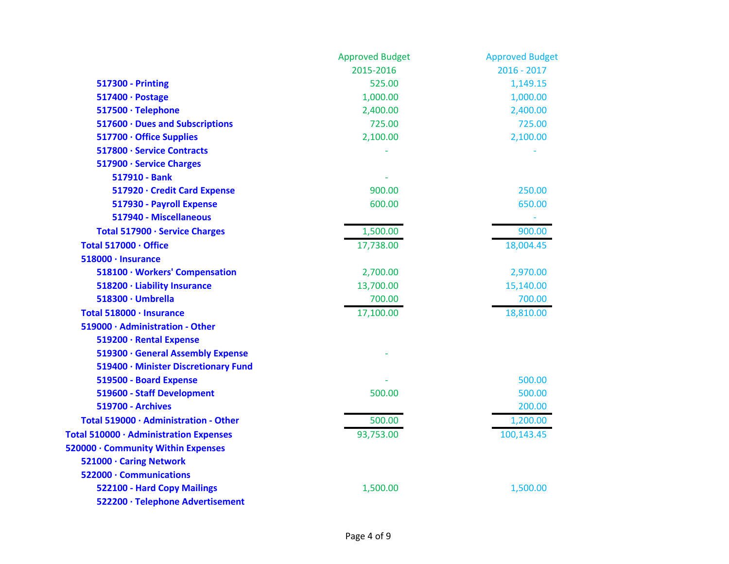|                                        | <b>Approved Budget</b> | <b>Approved Budget</b> |
|----------------------------------------|------------------------|------------------------|
|                                        | 2015-2016              | $2016 - 2017$          |
| <b>517300 - Printing</b>               | 525.00                 | 1,149.15               |
| 517400 · Postage                       | 1,000.00               | 1,000.00               |
| 517500 · Telephone                     | 2,400.00               | 2,400.00               |
| 517600 · Dues and Subscriptions        | 725.00                 | 725.00                 |
| 517700 · Office Supplies               | 2,100.00               | 2,100.00               |
| 517800 · Service Contracts             |                        |                        |
| 517900 · Service Charges               |                        |                        |
| 517910 - Bank                          |                        |                        |
| 517920 · Credit Card Expense           | 900.00                 | 250.00                 |
| 517930 - Payroll Expense               | 600.00                 | 650.00                 |
| 517940 - Miscellaneous                 |                        |                        |
| Total 517900 · Service Charges         | 1,500.00               | 900.00                 |
| Total 517000 · Office                  | 17,738.00              | 18,004.45              |
| 518000 · Insurance                     |                        |                        |
| 518100 · Workers' Compensation         | 2,700.00               | 2,970.00               |
| 518200 · Liability Insurance           | 13,700.00              | 15,140.00              |
| 518300 · Umbrella                      | 700.00                 | 700.00                 |
| Total 518000 · Insurance               | 17,100.00              | 18,810.00              |
| 519000 · Administration - Other        |                        |                        |
| 519200 · Rental Expense                |                        |                        |
| 519300 · General Assembly Expense      |                        |                        |
| 519400 · Minister Discretionary Fund   |                        |                        |
| 519500 - Board Expense                 |                        | 500.00                 |
| 519600 - Staff Development             | 500.00                 | 500.00                 |
| <b>519700 - Archives</b>               |                        | 200.00                 |
| Total 519000 · Administration - Other  | 500.00                 | 1,200.00               |
| Total 510000 · Administration Expenses | 93,753.00              | 100,143.45             |
| 520000 · Community Within Expenses     |                        |                        |
| 521000 · Caring Network                |                        |                        |
| 522000 · Communications                |                        |                        |
| 522100 - Hard Copy Mailings            | 1,500.00               | 1,500.00               |
| 522200 · Telephone Advertisement       |                        |                        |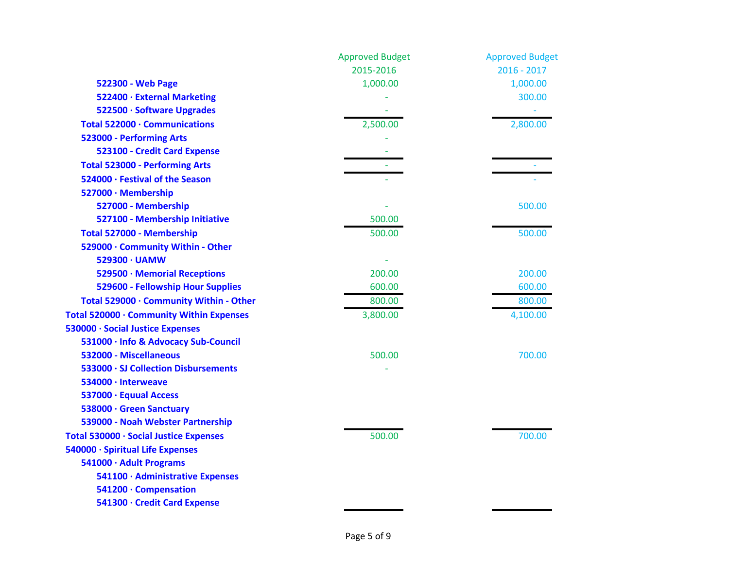|                                          | <b>Approved Budget</b><br>2015-2016 | <b>Approved Budget</b><br>$2016 - 2017$ |
|------------------------------------------|-------------------------------------|-----------------------------------------|
|                                          |                                     |                                         |
| 522300 - Web Page                        | 1,000.00                            | 1,000.00                                |
| 522400 · External Marketing              |                                     | 300.00                                  |
| 522500 · Software Upgrades               |                                     |                                         |
| Total 522000 · Communications            | 2,500.00                            | 2,800.00                                |
| 523000 - Performing Arts                 |                                     |                                         |
| 523100 - Credit Card Expense             |                                     |                                         |
| <b>Total 523000 - Performing Arts</b>    |                                     |                                         |
| 524000 · Festival of the Season          |                                     |                                         |
| 527000 · Membership                      |                                     |                                         |
| 527000 - Membership                      |                                     | 500.00                                  |
| 527100 - Membership Initiative           | 500.00                              |                                         |
| Total 527000 - Membership                | 500.00                              | 500.00                                  |
| 529000 · Community Within - Other        |                                     |                                         |
| 529300 · UAMW                            |                                     |                                         |
| 529500 · Memorial Receptions             | 200.00                              | 200.00                                  |
| 529600 - Fellowship Hour Supplies        | 600.00                              | 600.00                                  |
| Total 529000 · Community Within - Other  | 800.00                              | 800.00                                  |
| Total 520000 · Community Within Expenses | 3,800.00                            | 4,100.00                                |
| 530000 · Social Justice Expenses         |                                     |                                         |
| 531000 · Info & Advocacy Sub-Council     |                                     |                                         |
| 532000 - Miscellaneous                   | 500.00                              | 700.00                                  |
| 533000 · SJ Collection Disbursements     |                                     |                                         |
| 534000 · Interweave                      |                                     |                                         |
| 537000 · Equual Access                   |                                     |                                         |
| 538000 · Green Sanctuary                 |                                     |                                         |
| 539000 - Noah Webster Partnership        |                                     |                                         |
| Total 530000 · Social Justice Expenses   | 500.00                              | 700.00                                  |
| 540000 · Spiritual Life Expenses         |                                     |                                         |
| 541000 · Adult Programs                  |                                     |                                         |
| 541100 · Administrative Expenses         |                                     |                                         |
| 541200 · Compensation                    |                                     |                                         |
| 541300 · Credit Card Expense             |                                     |                                         |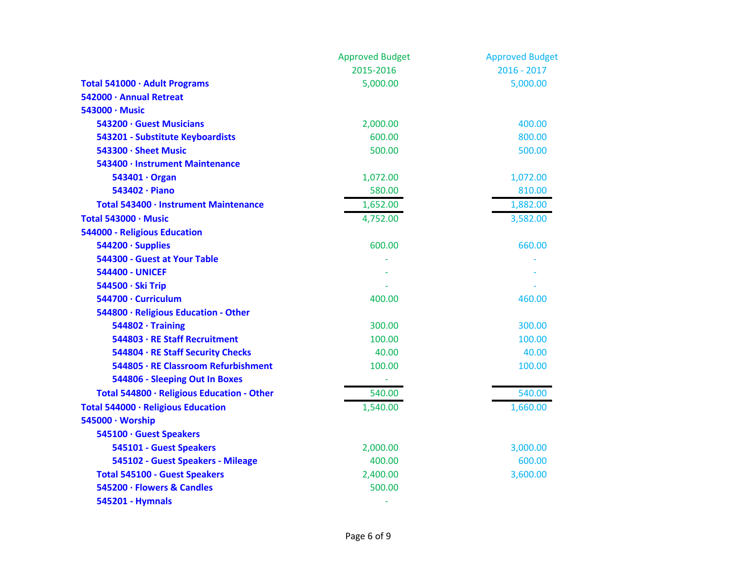|                                            | <b>Approved Budget</b> | <b>Approved Budget</b> |
|--------------------------------------------|------------------------|------------------------|
|                                            | 2015-2016              | $2016 - 2017$          |
| Total 541000 · Adult Programs              | 5,000.00               | 5,000.00               |
| 542000 · Annual Retreat                    |                        |                        |
| 543000 · Music                             |                        |                        |
| 543200 · Guest Musicians                   | 2,000.00               | 400.00                 |
| 543201 - Substitute Keyboardists           | 600.00                 | 800.00                 |
| 543300 · Sheet Music                       | 500.00                 | 500.00                 |
| 543400 · Instrument Maintenance            |                        |                        |
| 543401 · Organ                             | 1,072.00               | 1,072.00               |
| 543402 · Piano                             | 580.00                 | 810.00                 |
| Total 543400 · Instrument Maintenance      | 1,652.00               | 1,882.00               |
| Total 543000 · Music                       | 4,752.00               | 3,582.00               |
| <b>544000 - Religious Education</b>        |                        |                        |
| 544200 · Supplies                          | 600.00                 | 660.00                 |
| 544300 - Guest at Your Table               |                        |                        |
| <b>544400 - UNICEF</b>                     |                        |                        |
| 544500 · Ski Trip                          |                        |                        |
| 544700 · Curriculum                        | 400.00                 | 460.00                 |
| 544800 · Religious Education - Other       |                        |                        |
| 544802 · Training                          | 300.00                 | 300.00                 |
| 544803 · RE Staff Recruitment              | 100.00                 | 100.00                 |
| 544804 · RE Staff Security Checks          | 40.00                  | 40.00                  |
| 544805 · RE Classroom Refurbishment        | 100.00                 | 100.00                 |
| 544806 - Sleeping Out In Boxes             |                        |                        |
| Total 544800 · Religious Education - Other | 540.00                 | 540.00                 |
| Total 544000 · Religious Education         | 1,540.00               | 1,660.00               |
| 545000 · Worship                           |                        |                        |
| 545100 · Guest Speakers                    |                        |                        |
| 545101 - Guest Speakers                    | 2,000.00               | 3,000.00               |
| 545102 - Guest Speakers - Mileage          | 400.00                 | 600.00                 |
| <b>Total 545100 - Guest Speakers</b>       | 2,400.00               | 3,600.00               |
| 545200 · Flowers & Candles                 | 500.00                 |                        |
| 545201 - Hymnals                           |                        |                        |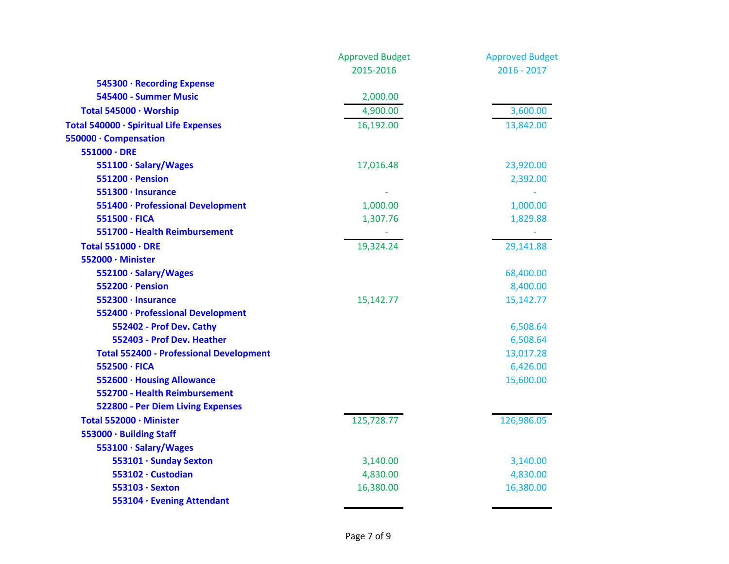|                                                | <b>Approved Budget</b> | <b>Approved Budget</b> |
|------------------------------------------------|------------------------|------------------------|
|                                                | 2015-2016              | $2016 - 2017$          |
| 545300 · Recording Expense                     |                        |                        |
| 545400 - Summer Music                          | 2,000.00               |                        |
| Total 545000 · Worship                         | 4,900.00               | 3,600.00               |
| Total 540000 · Spiritual Life Expenses         | 16,192.00              | 13,842.00              |
| 550000 · Compensation                          |                        |                        |
| $551000 \cdot DRE$                             |                        |                        |
| 551100 · Salary/Wages                          | 17,016.48              | 23,920.00              |
| 551200 · Pension                               |                        | 2,392.00               |
| 551300 · Insurance                             |                        |                        |
| 551400 · Professional Development              | 1,000.00               | 1,000.00               |
| 551500 · FICA                                  | 1,307.76               | 1,829.88               |
| 551700 - Health Reimbursement                  |                        |                        |
| Total 551000 · DRE                             | 19,324.24              | 29,141.88              |
| $552000 \cdot$ Minister                        |                        |                        |
| 552100 · Salary/Wages                          |                        | 68,400.00              |
| 552200 · Pension                               |                        | 8,400.00               |
| 552300 · Insurance                             | 15,142.77              | 15,142.77              |
| 552400 · Professional Development              |                        |                        |
| 552402 - Prof Dev. Cathy                       |                        | 6,508.64               |
| 552403 - Prof Dev. Heather                     |                        | 6,508.64               |
| <b>Total 552400 - Professional Development</b> |                        | 13,017.28              |
| $552500 \cdot FICA$                            |                        | 6,426.00               |
| 552600 · Housing Allowance                     |                        | 15,600.00              |
| 552700 - Health Reimbursement                  |                        |                        |
| <b>522800 - Per Diem Living Expenses</b>       |                        |                        |
| Total 552000 · Minister                        | 125,728.77             | 126,986.05             |
| 553000 · Building Staff                        |                        |                        |
| 553100 · Salary/Wages                          |                        |                        |
| 553101 · Sunday Sexton                         | 3,140.00               | 3,140.00               |
| 553102 · Custodian                             | 4,830.00               | 4,830.00               |
| 553103 · Sexton                                | 16,380.00              | 16,380.00              |
| 553104 · Evening Attendant                     |                        |                        |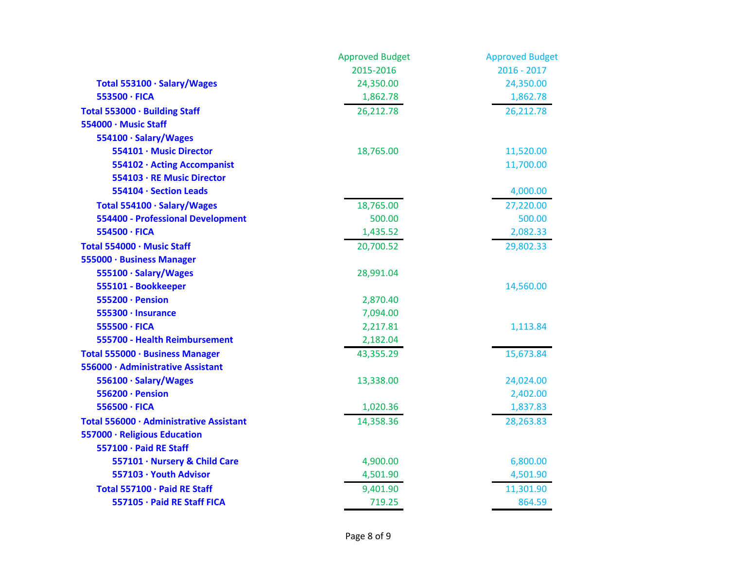|                                         | <b>Approved Budget</b> | <b>Approved Budget</b> |
|-----------------------------------------|------------------------|------------------------|
|                                         | 2015-2016              | $2016 - 2017$          |
| Total 553100 · Salary/Wages             | 24,350.00              | 24,350.00              |
| 553500 · FICA                           | 1,862.78               | 1,862.78               |
| Total 553000 · Building Staff           | 26,212.78              | 26,212.78              |
| 554000 · Music Staff                    |                        |                        |
| 554100 · Salary/Wages                   |                        |                        |
| 554101 · Music Director                 | 18,765.00              | 11,520.00              |
| 554102 · Acting Accompanist             |                        | 11,700.00              |
| 554103 · RE Music Director              |                        |                        |
| 554104 · Section Leads                  |                        | 4,000.00               |
| Total 554100 · Salary/Wages             | 18,765.00              | 27,220.00              |
| 554400 - Professional Development       | 500.00                 | 500.00                 |
| 554500 · FICA                           | 1,435.52               | 2,082.33               |
| Total 554000 · Music Staff              | 20,700.52              | 29,802.33              |
| 555000 · Business Manager               |                        |                        |
| 555100 · Salary/Wages                   | 28,991.04              |                        |
| 555101 - Bookkeeper                     |                        | 14,560.00              |
| 555200 · Pension                        | 2,870.40               |                        |
| 555300 · Insurance                      | 7,094.00               |                        |
| 555500 · FICA                           | 2,217.81               | 1,113.84               |
| 555700 - Health Reimbursement           | 2,182.04               |                        |
| Total 555000 · Business Manager         | 43,355.29              | 15,673.84              |
| 556000 · Administrative Assistant       |                        |                        |
| 556100 · Salary/Wages                   | 13,338.00              | 24,024.00              |
| 556200 · Pension                        |                        | 2,402.00               |
| 556500 · FICA                           | 1,020.36               | 1,837.83               |
| Total 556000 · Administrative Assistant | 14,358.36              | 28,263.83              |
| 557000 · Religious Education            |                        |                        |
| 557100 · Paid RE Staff                  |                        |                        |
| 557101 · Nursery & Child Care           | 4,900.00               | 6,800.00               |
| 557103 · Youth Advisor                  | 4,501.90               | 4,501.90               |
| Total 557100 · Paid RE Staff            | 9,401.90               | 11,301.90              |
| 557105 · Paid RE Staff FICA             | 719.25                 | 864.59                 |